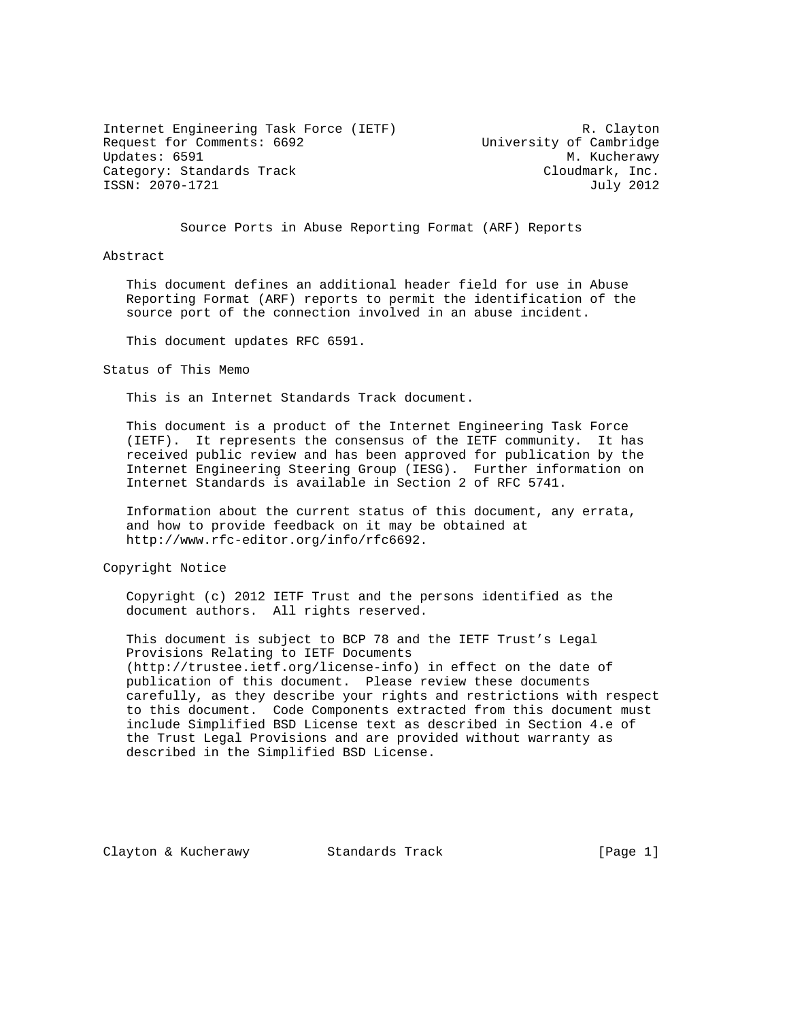Internet Engineering Task Force (IETF) R. Clayton Request for Comments: 6692<br>
University of Cambridge<br>
Updates: 6591 M. Kucherawy Updates: 6591 Category: Standards Track Cloudmark, Inc. ISSN: 2070-1721 July 2012

Source Ports in Abuse Reporting Format (ARF) Reports

Abstract

 This document defines an additional header field for use in Abuse Reporting Format (ARF) reports to permit the identification of the source port of the connection involved in an abuse incident.

This document updates RFC 6591.

Status of This Memo

This is an Internet Standards Track document.

 This document is a product of the Internet Engineering Task Force (IETF). It represents the consensus of the IETF community. It has received public review and has been approved for publication by the Internet Engineering Steering Group (IESG). Further information on Internet Standards is available in Section 2 of RFC 5741.

 Information about the current status of this document, any errata, and how to provide feedback on it may be obtained at http://www.rfc-editor.org/info/rfc6692.

Copyright Notice

 Copyright (c) 2012 IETF Trust and the persons identified as the document authors. All rights reserved.

 This document is subject to BCP 78 and the IETF Trust's Legal Provisions Relating to IETF Documents (http://trustee.ietf.org/license-info) in effect on the date of publication of this document. Please review these documents carefully, as they describe your rights and restrictions with respect to this document. Code Components extracted from this document must include Simplified BSD License text as described in Section 4.e of the Trust Legal Provisions and are provided without warranty as described in the Simplified BSD License.

Clayton & Kucherawy Standards Track [Page 1]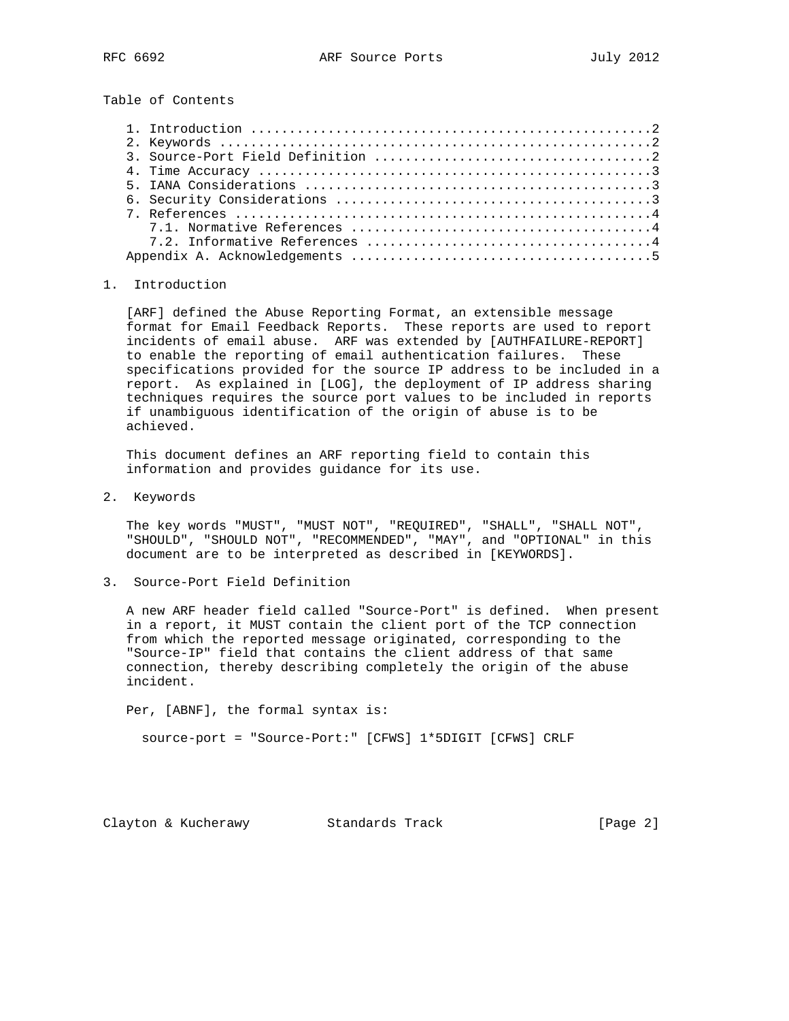Table of Contents

## 1. Introduction

 [ARF] defined the Abuse Reporting Format, an extensible message format for Email Feedback Reports. These reports are used to report incidents of email abuse. ARF was extended by [AUTHFAILURE-REPORT] to enable the reporting of email authentication failures. These specifications provided for the source IP address to be included in a report. As explained in [LOG], the deployment of IP address sharing techniques requires the source port values to be included in reports if unambiguous identification of the origin of abuse is to be achieved.

 This document defines an ARF reporting field to contain this information and provides guidance for its use.

2. Keywords

 The key words "MUST", "MUST NOT", "REQUIRED", "SHALL", "SHALL NOT", "SHOULD", "SHOULD NOT", "RECOMMENDED", "MAY", and "OPTIONAL" in this document are to be interpreted as described in [KEYWORDS].

3. Source-Port Field Definition

 A new ARF header field called "Source-Port" is defined. When present in a report, it MUST contain the client port of the TCP connection from which the reported message originated, corresponding to the "Source-IP" field that contains the client address of that same connection, thereby describing completely the origin of the abuse incident.

 Per, [ABNF], the formal syntax is: source-port = "Source-Port:" [CFWS] 1\*5DIGIT [CFWS] CRLF

Clayton & Kucherawy Standards Track [Page 2]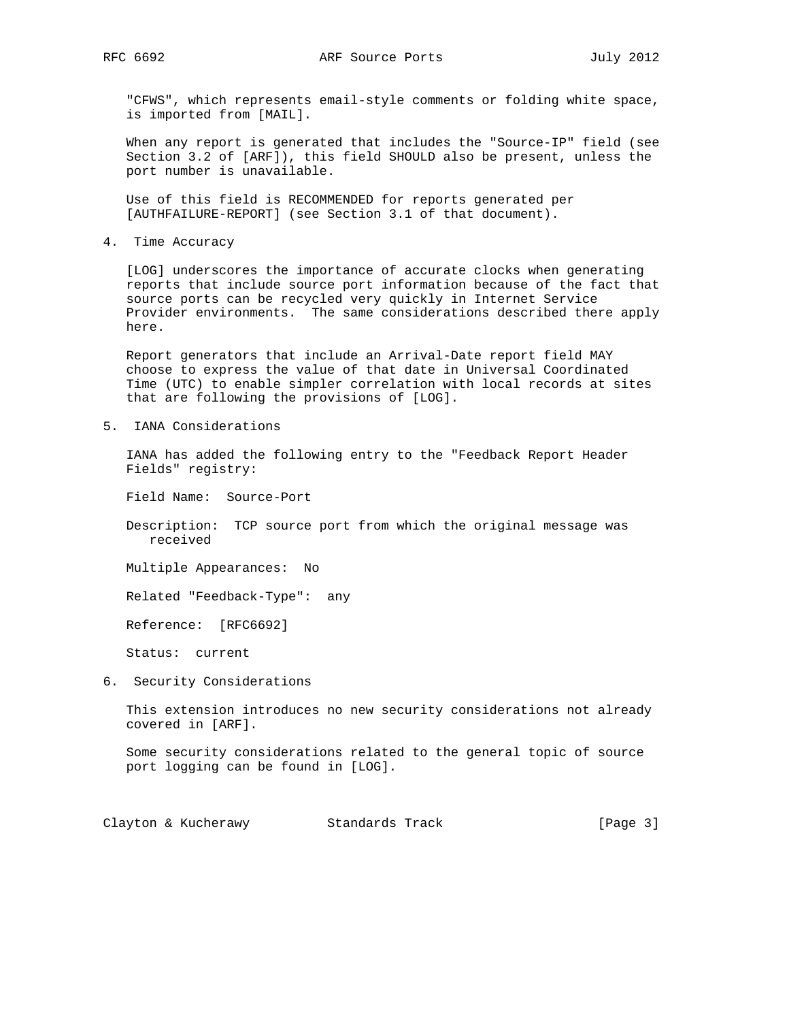"CFWS", which represents email-style comments or folding white space, is imported from [MAIL].

 When any report is generated that includes the "Source-IP" field (see Section 3.2 of [ARF]), this field SHOULD also be present, unless the port number is unavailable.

 Use of this field is RECOMMENDED for reports generated per [AUTHFAILURE-REPORT] (see Section 3.1 of that document).

4. Time Accuracy

 [LOG] underscores the importance of accurate clocks when generating reports that include source port information because of the fact that source ports can be recycled very quickly in Internet Service Provider environments. The same considerations described there apply here.

 Report generators that include an Arrival-Date report field MAY choose to express the value of that date in Universal Coordinated Time (UTC) to enable simpler correlation with local records at sites that are following the provisions of [LOG].

5. IANA Considerations

 IANA has added the following entry to the "Feedback Report Header Fields" registry:

Field Name: Source-Port

 Description: TCP source port from which the original message was received

Multiple Appearances: No

Related "Feedback-Type": any

Reference: [RFC6692]

Status: current

6. Security Considerations

 This extension introduces no new security considerations not already covered in [ARF].

 Some security considerations related to the general topic of source port logging can be found in [LOG].

Clayton & Kucherawy Standards Track [Page 3]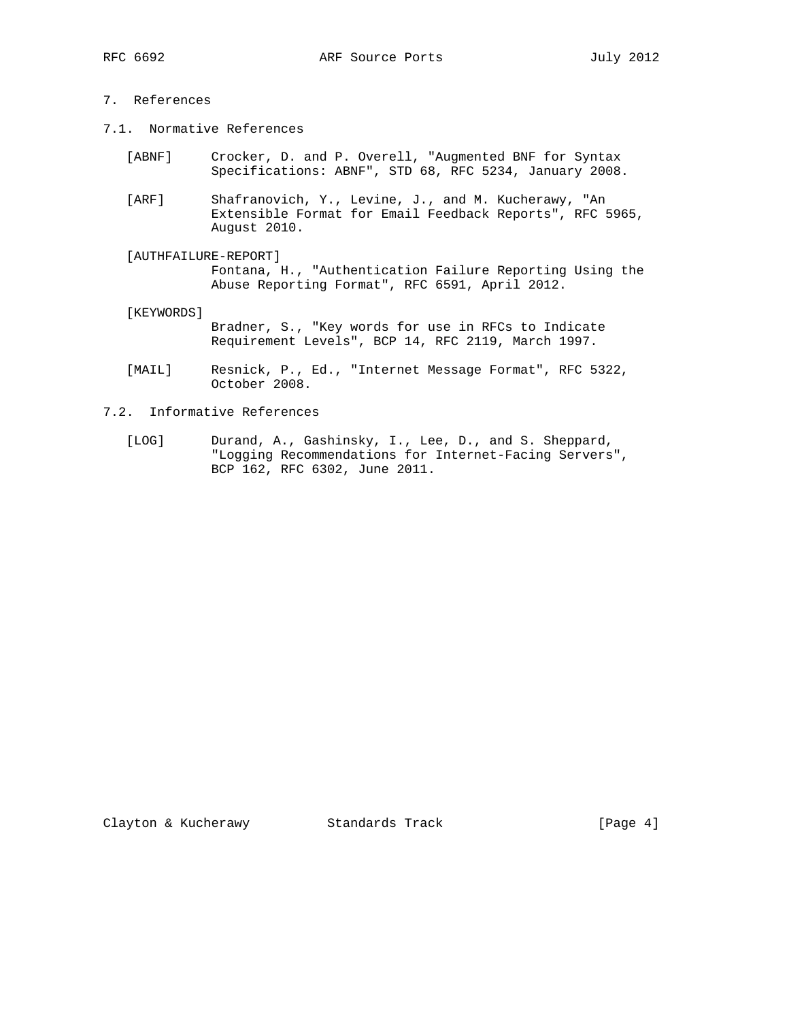## 7. References

- 7.1. Normative References
	- [ABNF] Crocker, D. and P. Overell, "Augmented BNF for Syntax Specifications: ABNF", STD 68, RFC 5234, January 2008.
	- [ARF] Shafranovich, Y., Levine, J., and M. Kucherawy, "An Extensible Format for Email Feedback Reports", RFC 5965, August 2010.
	- [AUTHFAILURE-REPORT] Fontana, H., "Authentication Failure Reporting Using the Abuse Reporting Format", RFC 6591, April 2012.
	- [KEYWORDS]
		- Bradner, S., "Key words for use in RFCs to Indicate Requirement Levels", BCP 14, RFC 2119, March 1997.
	- [MAIL] Resnick, P., Ed., "Internet Message Format", RFC 5322, October 2008.
- 7.2. Informative References
	- [LOG] Durand, A., Gashinsky, I., Lee, D., and S. Sheppard, "Logging Recommendations for Internet-Facing Servers", BCP 162, RFC 6302, June 2011.